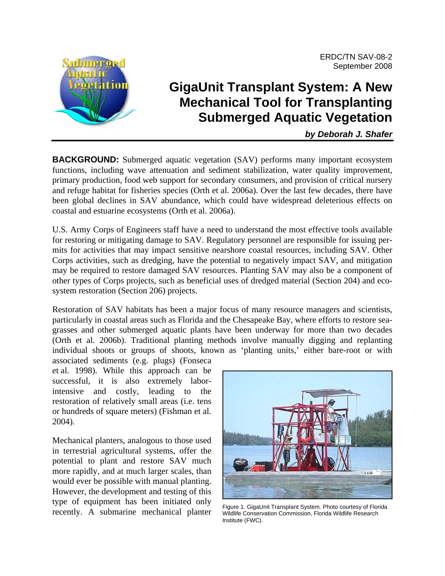

# **GigaUnit Transplant System: A New Mechanical Tool for Transplanting Submerged Aquatic Vegetation**

*by Deborah J. Shafer* 

**BACKGROUND:** Submerged aquatic vegetation (SAV) performs many important ecosystem functions, including wave attenuation and sediment stabilization, water quality improvement, primary production, food web support for secondary consumers, and provision of critical nursery and refuge habitat for fisheries species (Orth et al. 2006a). Over the last few decades, there have been global declines in SAV abundance, which could have widespread deleterious effects on coastal and estuarine ecosystems (Orth et al. 2006a).

U.S. Army Corps of Engineers staff have a need to understand the most effective tools available for restoring or mitigating damage to SAV. Regulatory personnel are responsible for issuing permits for activities that may impact sensitive nearshore coastal resources, including SAV. Other Corps activities, such as dredging, have the potential to negatively impact SAV, and mitigation may be required to restore damaged SAV resources. Planting SAV may also be a component of other types of Corps projects, such as beneficial uses of dredged material (Section 204) and ecosystem restoration (Section 206) projects.

Restoration of SAV habitats has been a major focus of many resource managers and scientists, particularly in coastal areas such as Florida and the Chesapeake Bay, where efforts to restore seagrasses and other submerged aquatic plants have been underway for more than two decades (Orth et al. 2006b). Traditional planting methods involve manually digging and replanting individual shoots or groups of shoots, known as 'planting units,' either bare-root or with

associated sediments (e.g. plugs) (Fonseca et al. 1998). While this approach can be successful, it is also extremely laborintensive and costly, leading to the restoration of relatively small areas (i.e. tens or hundreds of square meters) (Fishman et al. 2004).

Mechanical planters, analogous to those used in terrestrial agricultural systems, offer the potential to plant and restore SAV much more rapidly, and at much larger scales, than would ever be possible with manual planting. However, the development and testing of this type of equipment has been initiated only recently. A submarine mechanical planter



Figure 1. GigaUnit Transplant System. Photo courtesy of Florida Wildlife Conservation Commission, Florida Wildlife Research Institute (FWC).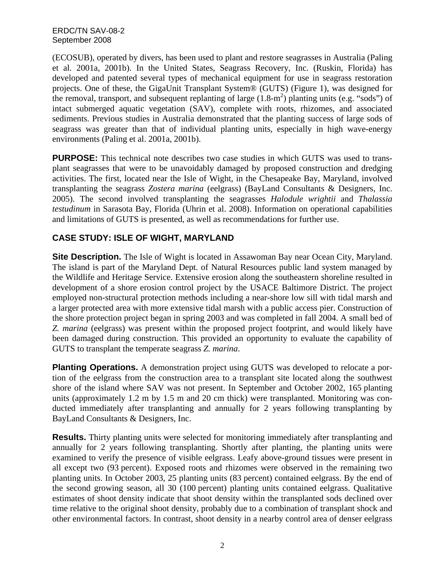(ECOSUB), operated by divers, has been used to plant and restore seagrasses in Australia (Paling et al. 2001a, 2001b). In the United States, Seagrass Recovery, Inc. (Ruskin, Florida) has developed and patented several types of mechanical equipment for use in seagrass restoration projects. One of these, the GigaUnit Transplant System® (GUTS) (Figure 1), was designed for the removal, transport, and subsequent replanting of large  $(1.8 \text{--} \text{m}^2)$  planting units (e.g. "sods") of intact submerged aquatic vegetation (SAV), complete with roots, rhizomes, and associated sediments. Previous studies in Australia demonstrated that the planting success of large sods of seagrass was greater than that of individual planting units, especially in high wave-energy environments (Paling et al. 2001a, 2001b).

**PURPOSE:** This technical note describes two case studies in which GUTS was used to transplant seagrasses that were to be unavoidably damaged by proposed construction and dredging activities. The first, located near the Isle of Wight, in the Chesapeake Bay, Maryland, involved transplanting the seagrass *Zostera marina* (eelgrass) (BayLand Consultants & Designers, Inc. 2005). The second involved transplanting the seagrasses *Halodule wrightii* and *Thalassia testudinum* in Sarasota Bay, Florida (Uhrin et al. 2008). Information on operational capabilities and limitations of GUTS is presented, as well as recommendations for further use.

## **CASE STUDY: ISLE OF WIGHT, MARYLAND**

**Site Description.** The Isle of Wight is located in Assawoman Bay near Ocean City, Maryland. The island is part of the Maryland Dept. of Natural Resources public land system managed by the Wildlife and Heritage Service. Extensive erosion along the southeastern shoreline resulted in development of a shore erosion control project by the USACE Baltimore District. The project employed non-structural protection methods including a near-shore low sill with tidal marsh and a larger protected area with more extensive tidal marsh with a public access pier. Construction of the shore protection project began in spring 2003 and was completed in fall 2004. A small bed of *Z. marina* (eelgrass) was present within the proposed project footprint, and would likely have been damaged during construction. This provided an opportunity to evaluate the capability of GUTS to transplant the temperate seagrass *Z. marina*.

**Planting Operations.** A demonstration project using GUTS was developed to relocate a portion of the eelgrass from the construction area to a transplant site located along the southwest shore of the island where SAV was not present. In September and October 2002, 165 planting units (approximately 1.2 m by 1.5 m and 20 cm thick) were transplanted. Monitoring was conducted immediately after transplanting and annually for 2 years following transplanting by BayLand Consultants & Designers, Inc.

**Results.** Thirty planting units were selected for monitoring immediately after transplanting and annually for 2 years following transplanting. Shortly after planting, the planting units were examined to verify the presence of visible eelgrass. Leafy above-ground tissues were present in all except two (93 percent). Exposed roots and rhizomes were observed in the remaining two planting units. In October 2003, 25 planting units (83 percent) contained eelgrass. By the end of the second growing season, all 30 (100 percent) planting units contained eelgrass. Qualitative estimates of shoot density indicate that shoot density within the transplanted sods declined over time relative to the original shoot density, probably due to a combination of transplant shock and other environmental factors. In contrast, shoot density in a nearby control area of denser eelgrass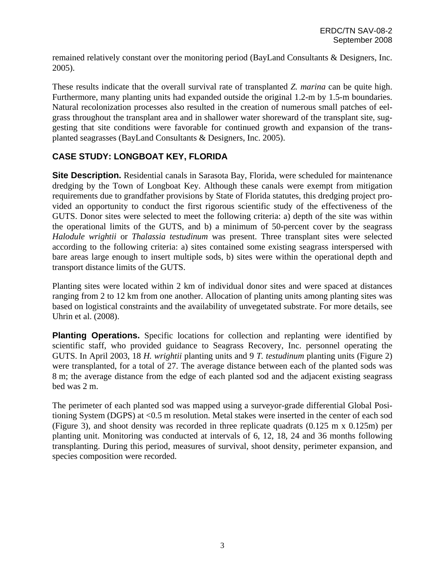remained relatively constant over the monitoring period (BayLand Consultants & Designers, Inc. 2005).

These results indicate that the overall survival rate of transplanted *Z. marina* can be quite high. Furthermore, many planting units had expanded outside the original 1.2-m by 1.5-m boundaries. Natural recolonization processes also resulted in the creation of numerous small patches of eelgrass throughout the transplant area and in shallower water shoreward of the transplant site, suggesting that site conditions were favorable for continued growth and expansion of the transplanted seagrasses (BayLand Consultants & Designers, Inc. 2005).

## **CASE STUDY: LONGBOAT KEY, FLORIDA**

**Site Description.** Residential canals in Sarasota Bay, Florida, were scheduled for maintenance dredging by the Town of Longboat Key. Although these canals were exempt from mitigation requirements due to grandfather provisions by State of Florida statutes, this dredging project provided an opportunity to conduct the first rigorous scientific study of the effectiveness of the GUTS. Donor sites were selected to meet the following criteria: a) depth of the site was within the operational limits of the GUTS, and b) a minimum of 50-percent cover by the seagrass *Halodule wrightii* or *Thalassia testudinum* was present. Three transplant sites were selected according to the following criteria: a) sites contained some existing seagrass interspersed with bare areas large enough to insert multiple sods, b) sites were within the operational depth and transport distance limits of the GUTS.

Planting sites were located within 2 km of individual donor sites and were spaced at distances ranging from 2 to 12 km from one another. Allocation of planting units among planting sites was based on logistical constraints and the availability of unvegetated substrate. For more details, see Uhrin et al. (2008).

**Planting Operations.** Specific locations for collection and replanting were identified by scientific staff, who provided guidance to Seagrass Recovery, Inc. personnel operating the GUTS. In April 2003, 18 *H. wrightii* planting units and 9 *T. testudinum* planting units (Figure 2) were transplanted, for a total of 27. The average distance between each of the planted sods was 8 m; the average distance from the edge of each planted sod and the adjacent existing seagrass bed was 2 m.

The perimeter of each planted sod was mapped using a surveyor-grade differential Global Positioning System (DGPS) at <0.5 m resolution. Metal stakes were inserted in the center of each sod (Figure 3), and shoot density was recorded in three replicate quadrats (0.125 m x 0.125m) per planting unit. Monitoring was conducted at intervals of 6, 12, 18, 24 and 36 months following transplanting. During this period, measures of survival, shoot density, perimeter expansion, and species composition were recorded.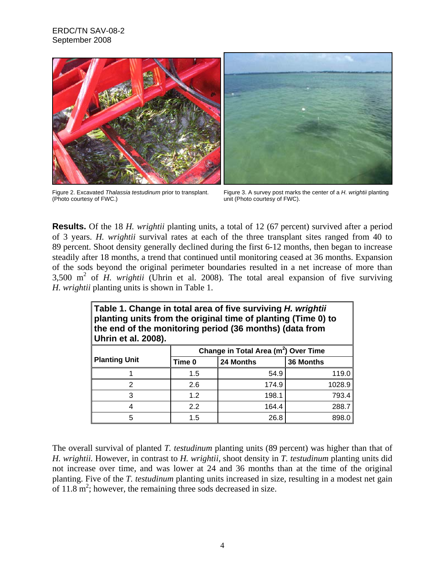

Figure 2. Excavated *Thalassia testudinum* prior to transplant. (Photo courtesy of FWC.)

Figure 3. A survey post marks the center of a *H. wrightii* planting unit (Photo courtesy of FWC).

**Results.** Of the 18 *H. wrightii* planting units, a total of 12 (67 percent) survived after a period of 3 years. *H. wrightii* survival rates at each of the three transplant sites ranged from 40 to 89 percent. Shoot density generally declined during the first 6-12 months, then began to increase steadily after 18 months, a trend that continued until monitoring ceased at 36 months. Expansion of the sods beyond the original perimeter boundaries resulted in a net increase of more than  $3,500$  m<sup>2</sup> of *H. wrightii* (Uhrin et al. 2008). The total areal expansion of five surviving *H. wrightii* planting units is shown in Table 1.

| Table 1. Change in total area of five surviving H. wrightii<br>planting units from the original time of planting (Time 0) to<br>the end of the monitoring period (36 months) (data from<br>Uhrin et al. 2008). |                                                  |           |           |  |  |  |
|----------------------------------------------------------------------------------------------------------------------------------------------------------------------------------------------------------------|--------------------------------------------------|-----------|-----------|--|--|--|
|                                                                                                                                                                                                                | Change in Total Area (m <sup>2</sup> ) Over Time |           |           |  |  |  |
| <b>Planting Unit</b>                                                                                                                                                                                           | Time 0                                           | 24 Months | 36 Months |  |  |  |
|                                                                                                                                                                                                                | 1.5                                              | 54.9      | 119.0     |  |  |  |
| 2                                                                                                                                                                                                              | 2.6                                              | 174.9     | 1028.9    |  |  |  |
| 3                                                                                                                                                                                                              | 1.2                                              | 198.1     | 793.4     |  |  |  |
| 4                                                                                                                                                                                                              | 2.2                                              | 164.4     | 288.7     |  |  |  |
| 5                                                                                                                                                                                                              | 1.5                                              | 26.8      | 898.0     |  |  |  |

The overall survival of planted *T. testudinum* planting units (89 percent) was higher than that of *H. wrightii.* However, in contrast to *H. wrightii*, shoot density in *T. testudinum* planting units did not increase over time, and was lower at 24 and 36 months than at the time of the original planting. Five of the *T. testudinum* planting units increased in size, resulting in a modest net gain of  $11.8 \text{ m}^2$ ; however, the remaining three sods decreased in size.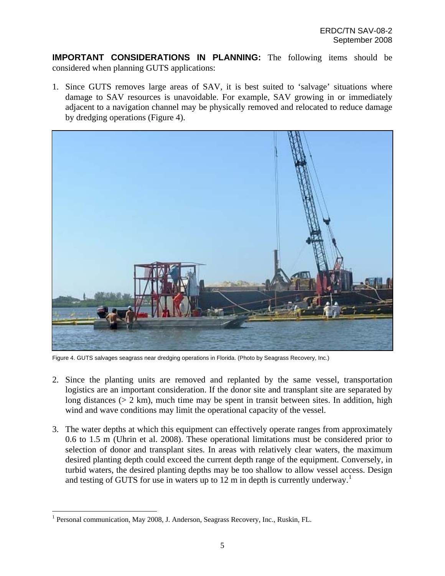**IMPORTANT CONSIDERATIONS IN PLANNING:** The following items should be considered when planning GUTS applications:

1. Since GUTS removes large areas of SAV, it is best suited to 'salvage' situations where damage to SAV resources is unavoidable. For example, SAV growing in or immediately adjacent to a navigation channel may be physically removed and relocated to reduce damage by dredging operations (Figure 4).



Figure 4. GUTS salvages seagrass near dredging operations in Florida. (Photo by Seagrass Recovery, Inc.)

- 2. Since the planting units are removed and replanted by the same vessel, transportation logistics are an important consideration. If the donor site and transplant site are separated by long distances ( $> 2$  km), much time may be spent in transit between sites. In addition, high wind and wave conditions may limit the operational capacity of the vessel.
- 3. The water depths at which this equipment can effectively operate ranges from approximately 0.6 to 1.5 m (Uhrin et al. 2008). These operational limitations must be considered prior to selection of donor and transplant sites. In areas with relatively clear waters, the maximum desired planting depth could exceed the current depth range of the equipment. Conversely, in turbid waters, the desired planting depths may be too shallow to allow vessel access. Design and testing of GUTS for use in waters up to [1](#page-4-0)2 m in depth is currently underway.<sup>1</sup>

<u>.</u>

<span id="page-4-0"></span><sup>&</sup>lt;sup>1</sup> Personal communication, May 2008, J. Anderson, Seagrass Recovery, Inc., Ruskin, FL.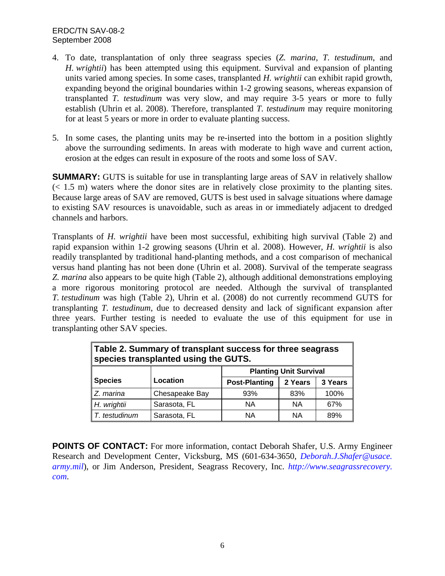### ERDC/TN SAV-08-2 September 2008

- 4. To date, transplantation of only three seagrass species (*Z. marina*, *T. testudinum*, and *H. wrightii*) has been attempted using this equipment. Survival and expansion of planting units varied among species. In some cases, transplanted *H. wrightii* can exhibit rapid growth, expanding beyond the original boundaries within 1-2 growing seasons, whereas expansion of transplanted *T. testudinum* was very slow, and may require 3-5 years or more to fully establish (Uhrin et al. 2008). Therefore, transplanted *T. testudinum* may require monitoring for at least 5 years or more in order to evaluate planting success.
- 5. In some cases, the planting units may be re-inserted into the bottom in a position slightly above the surrounding sediments. In areas with moderate to high wave and current action, erosion at the edges can result in exposure of the roots and some loss of SAV.

**SUMMARY:** GUTS is suitable for use in transplanting large areas of SAV in relatively shallow (< 1.5 m) waters where the donor sites are in relatively close proximity to the planting sites. Because large areas of SAV are removed, GUTS is best used in salvage situations where damage to existing SAV resources is unavoidable, such as areas in or immediately adjacent to dredged channels and harbors.

Transplants of *H. wrightii* have been most successful, exhibiting high survival (Table 2) and rapid expansion within 1-2 growing seasons (Uhrin et al. 2008). However, *H. wrightii* is also readily transplanted by traditional hand-planting methods, and a cost comparison of mechanical versus hand planting has not been done (Uhrin et al. 2008). Survival of the temperate seagrass *Z. marina* also appears to be quite high (Table 2), although additional demonstrations employing a more rigorous monitoring protocol are needed. Although the survival of transplanted *T. testudinum* was high (Table 2), Uhrin et al. (2008) do not currently recommend GUTS for transplanting *T. testudinum*, due to decreased density and lack of significant expansion after three years. Further testing is needed to evaluate the use of this equipment for use in transplanting other SAV species.

| Table 2. Summary of transplant success for three seagrass<br>species transplanted using the GUTS. |                |                               |         |         |  |  |
|---------------------------------------------------------------------------------------------------|----------------|-------------------------------|---------|---------|--|--|
|                                                                                                   |                | <b>Planting Unit Survival</b> |         |         |  |  |
| <b>Species</b>                                                                                    | Location       | <b>Post-Planting</b>          | 2 Years | 3 Years |  |  |
| Z. marina                                                                                         | Chesapeake Bay | 93%                           | 83%     | 100%    |  |  |
| H. wrightii                                                                                       | Sarasota, FL   | <b>NA</b>                     | ΝA      | 67%     |  |  |
| T. testudinum                                                                                     | Sarasota, FL   | <b>NA</b>                     | ΝA      | 89%     |  |  |

**POINTS OF CONTACT:** For more information, contact Deborah Shafer, U.S. Army Engineer Research and Development Center, Vicksburg, MS (601-634-3650, *[Deborah.J.Shafer@usace.](mailto:Deborah.J.Shafer@usace.%20army.mil)  [army.mil](mailto:Deborah.J.Shafer@usace.%20army.mil)*), or Jim Anderson, President, Seagrass Recovery, Inc. *[http://www.seagrassrecovery](http://www.seagrassrecovery/). com*.